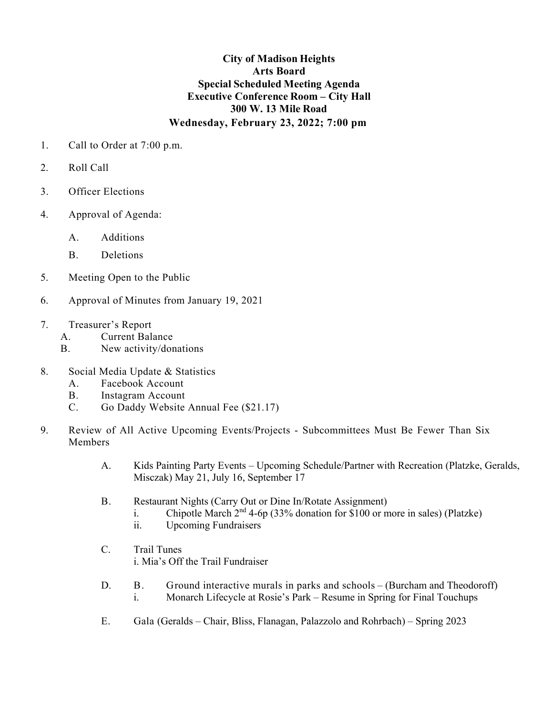## **City of Madison Heights Arts Board Special Scheduled Meeting Agenda Executive Conference Room – City Hall 300 W. 13 Mile Road Wednesday, February 23, 2022; 7:00 pm**

- 1. Call to Order at 7:00 p.m.
- 2. Roll Call
- 3. Officer Elections
- 4. Approval of Agenda:
	- A. Additions
	- B. Deletions
- 5. Meeting Open to the Public
- 6. Approval of Minutes from January 19, 2021
- 7. Treasurer's Report
	- A. Current Balance
	- B. New activity/donations
- 8. Social Media Update & Statistics
	- A. Facebook Account
	- B. Instagram Account
	- C. Go Daddy Website Annual Fee (\$21.17)
- 9. Review of All Active Upcoming Events/Projects Subcommittees Must Be Fewer Than Six **Members** 
	- A. Kids Painting Party Events Upcoming Schedule/Partner with Recreation (Platzke, Geralds, Misczak) May 21, July 16, September 17
	- B. Restaurant Nights (Carry Out or Dine In/Rotate Assignment)
		- i. Chipotle March  $2<sup>nd</sup>$  4-6p (33% donation for \$100 or more in sales) (Platzke)
		- ii. Upcoming Fundraisers
	- C. Trail Tunes i. Mia's Off the Trail Fundraiser
	- D. B. Ground interactive murals in parks and schools (Burcham and Theodoroff) i. Monarch Lifecycle at Rosie's Park – Resume in Spring for Final Touchups
	- E. Gala (Geralds Chair, Bliss, Flanagan, Palazzolo and Rohrbach) Spring 2023